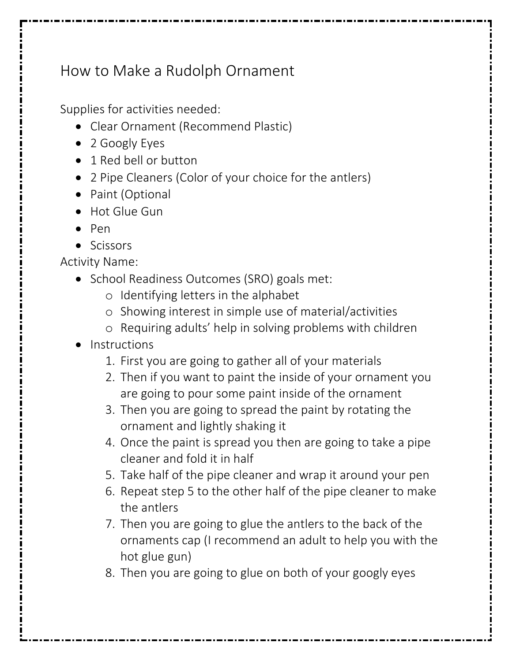## How to Make a Rudolph Ornament

Supplies for activities needed:

- Clear Ornament (Recommend Plastic)
- 2 Googly Eyes
- 1 Red bell or button
- 2 Pipe Cleaners (Color of your choice for the antlers)
- Paint (Optional
- Hot Glue Gun
- Pen
- Scissors

Activity Name:

- School Readiness Outcomes (SRO) goals met:
	- o Identifying letters in the alphabet
	- o Showing interest in simple use of material/activities
	- o Requiring adults' help in solving problems with children
- Instructions
	- 1. First you are going to gather all of your materials
	- 2. Then if you want to paint the inside of your ornament you are going to pour some paint inside of the ornament
	- 3. Then you are going to spread the paint by rotating the ornament and lightly shaking it
	- 4. Once the paint is spread you then are going to take a pipe cleaner and fold it in half
	- 5. Take half of the pipe cleaner and wrap it around your pen
	- 6. Repeat step 5 to the other half of the pipe cleaner to make the antlers
	- 7. Then you are going to glue the antlers to the back of the ornaments cap (I recommend an adult to help you with the hot glue gun)
	- 8. Then you are going to glue on both of your googly eyes